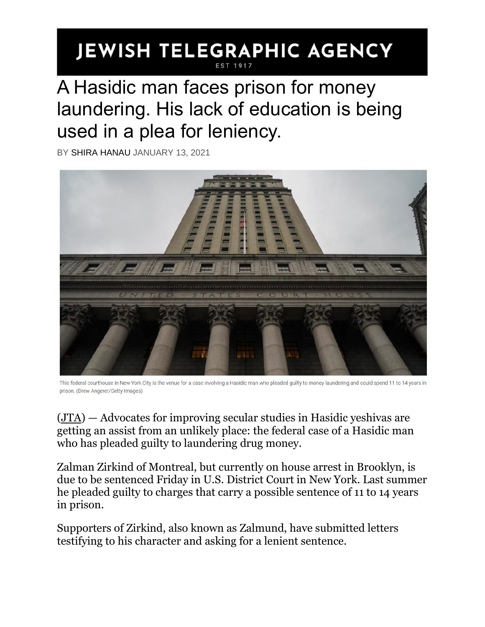## **JEWISH TELEGRAPHIC AGENCY**

## A Hasidic man faces prison for money laundering. His lack of education is being used in a plea for leniency.

BY [SHIRA HANAU](https://www.jta.org/author/shira-hanau) JANUARY 13, 2021



This federal courthouse in New York City is the venue for a case involving a Hasidic man who pleaded guilty to money laundering and could spend 11 to 14 years in prison. (Drew Angerer/Getty Images)

[\(JTA\)](http://www.jta.org/) — Advocates for improving secular studies in Hasidic yeshivas are getting an assist from an unlikely place: the federal case of a Hasidic man who has pleaded guilty to laundering drug money.

Zalman Zirkind of Montreal, but currently on house arrest in Brooklyn, is due to be sentenced Friday in U.S. District Court in New York. Last summer he pleaded guilty to charges that carry a possible sentence of 11 to 14 years in prison.

Supporters of Zirkind, also known as Zalmund, have submitted letters testifying to his character and asking for a lenient sentence.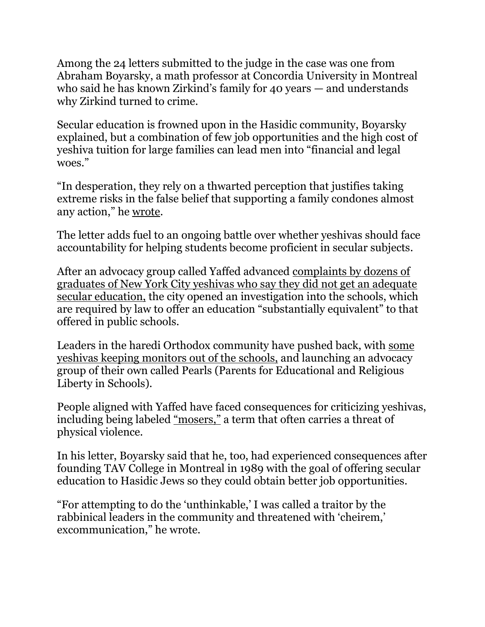Among the 24 letters submitted to the judge in the case was one from Abraham Boyarsky, a math professor at Concordia University in Montreal who said he has known Zirkind's family for 40 years — and understands why Zirkind turned to crime.

Secular education is frowned upon in the Hasidic community, Boyarsky explained, but a combination of few job opportunities and the high cost of yeshiva tuition for large families can lead men into "financial and legal woes."

"In desperation, they rely on a thwarted perception that justifies taking extreme risks in the false belief that supporting a family condones almost any action," he [wrote.](https://lostmessiahdotcom.wordpress.com/2021/01/12/rabbi-zirkind-money-laundering-narcotics-and-a-sentencing-letter-or-two/)

The letter adds fuel to an ongoing battle over whether yeshivas should face accountability for helping students become proficient in secular subjects.

After an advocacy group called Yaffed advanced [complaints by dozens of](https://www.nytimes.com/2015/08/01/nyregion/new-york-city-questions-english-math-and-science-taught-at-yeshivas.html)  [graduates of New York City yeshivas who say they did not get an adequate](https://www.nytimes.com/2015/08/01/nyregion/new-york-city-questions-english-math-and-science-taught-at-yeshivas.html)  [secular education,](https://www.nytimes.com/2015/08/01/nyregion/new-york-city-questions-english-math-and-science-taught-at-yeshivas.html) the city opened an investigation into the schools, which are required by law to offer an education "substantially equivalent" to that offered in public schools.

Leaders in the haredi Orthodox community have pushed back, with [some](https://www.politico.com/states/new-york/albany/story/2018/08/16/carranza-calls-out-15-yeshivas-for-delaying-investigation-into-educational-standards-561880)  [yeshivas keeping monitors out of the schools,](https://www.politico.com/states/new-york/albany/story/2018/08/16/carranza-calls-out-15-yeshivas-for-delaying-investigation-into-educational-standards-561880) and launching an advocacy group of their own called Pearls (Parents for Educational and Religious Liberty in Schools).

People aligned with Yaffed have faced consequences for criticizing yeshivas, including being labeled ["mosers,"](https://www.jta.org/2020/04/23/united-states/whistleblowers-in-the-haredi-orthodox-community-have-always-faced-obstacles-coronavirus-is-just-the-latest-example) a term that often carries a threat of physical violence.

In his letter, Boyarsky said that he, too, had experienced consequences after founding TAV College in Montreal in 1989 with the goal of offering secular education to Hasidic Jews so they could obtain better job opportunities.

"For attempting to do the 'unthinkable,' I was called a traitor by the rabbinical leaders in the community and threatened with 'cheirem,' excommunication," he wrote.